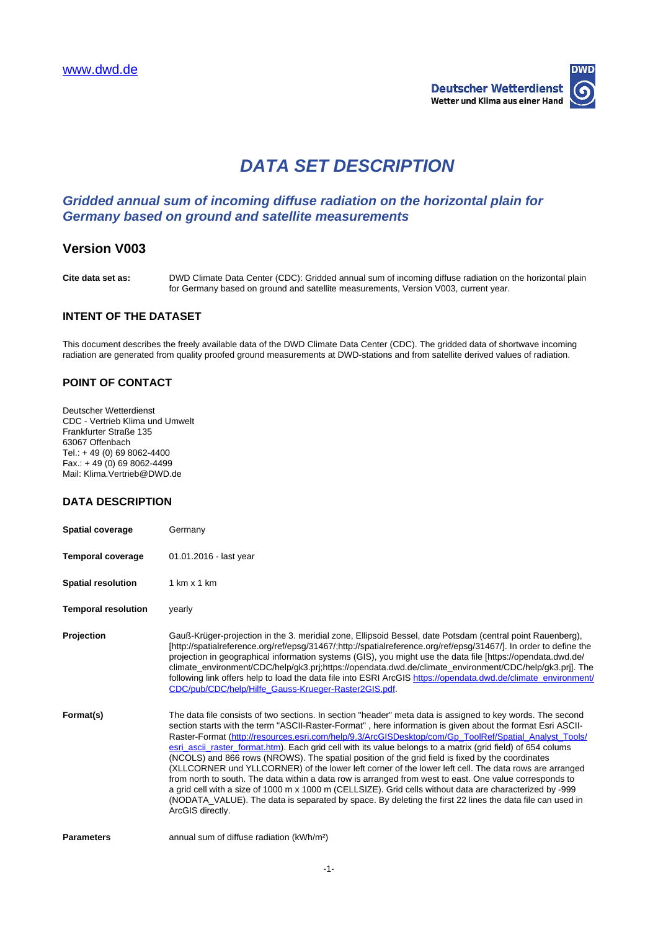

# **DATA SET DESCRIPTION**

# **Gridded annual sum of incoming diffuse radiation on the horizontal plain for Germany based on ground and satellite measurements**

## **Version V003**

**Cite data set as:** DWD Climate Data Center (CDC): Gridded annual sum of incoming diffuse radiation on the horizontal plain for Germany based on ground and satellite measurements, Version V003, current year.

#### **INTENT OF THE DATASET**

This document describes the freely available data of the DWD Climate Data Center (CDC). The gridded data of shortwave incoming radiation are generated from quality proofed ground measurements at DWD-stations and from satellite derived values of radiation.

### **POINT OF CONTACT**

Deutscher Wetterdienst CDC - Vertrieb Klima und Umwelt Frankfurter Straße 135 63067 Offenbach Tel.: + 49 (0) 69 8062-4400 Fax.: + 49 (0) 69 8062-4499 Mail: Klima.Vertrieb@DWD.de

### **DATA DESCRIPTION**

| <b>Spatial coverage</b>    | Germany                                                         |
|----------------------------|-----------------------------------------------------------------|
| Temporal coverage          | 01.01.2016 - last year                                          |
| <b>Spatial resolution</b>  | 1 km x 1 km                                                     |
| <b>Temporal resolution</b> | yearly                                                          |
| Projection                 | Gauß-Krüger-projection in th<br>[http://spatialreference.org/re |

**Profischer** Gaugnerial Gaugarian in the 3. meridial point Bauenberg), respectively and the 3. meridial zone, Ellipsoid Bessel, date Potsdam (central point Rauenberg), ef/epsg/31467/;http://spatialreference.org/ref/epsg/31467/]. In order to define the projection in geographical information systems (GIS), you might use the data file [https://opendata.dwd.de/ climate\_environment/CDC/help/gk3.prj;https://opendata.dwd.de/climate\_environment/CDC/help/gk3.prj]. The following link offers help to load the data file into ESRI ArcGIS [https://opendata.dwd.de/climate\\_environment/](https://opendata.dwd.de/climate_environment/CDC/pub/CDC/help/Hilfe_Gauss-Krueger-Raster2GIS.pdf) [CDC/pub/CDC/help/Hilfe\\_Gauss-Krueger-Raster2GIS.pdf.](https://opendata.dwd.de/climate_environment/CDC/pub/CDC/help/Hilfe_Gauss-Krueger-Raster2GIS.pdf)

**Format(s)** The data file consists of two sections. In section "header" meta data is assigned to key words. The second section starts with the term "ASCII-Raster-Format" , here information is given about the format Esri ASCIIRaster-Format ([http://resources.esri.com/help/9.3/ArcGISDesktop/com/Gp\\_ToolRef/Spatial\\_Analyst\\_Tools/](http://resources.esri.com/help/9.3/ArcGISDesktop/com/Gp_ToolRef/Spatial_Analyst_Tools/esri_ascii_raster_format.htm) [esri\\_ascii\\_raster\\_format.htm\)](http://resources.esri.com/help/9.3/ArcGISDesktop/com/Gp_ToolRef/Spatial_Analyst_Tools/esri_ascii_raster_format.htm). Each grid cell with its value belongs to a matrix (grid field) of 654 colums (NCOLS) and 866 rows (NROWS). The spatial position of the grid field is fixed by the coordinates (XLLCORNER und YLLCORNER) of the lower left corner of the lower left cell. The data rows are arranged from north to south. The data within a data row is arranged from west to east. One value corresponds to a grid cell with a size of 1000 m x 1000 m (CELLSIZE). Grid cells without data are characterized by -999 (NODATA\_VALUE). The data is separated by space. By deleting the first 22 lines the data file can used in ArcGIS directly.

**Parameters** annual sum of diffuse radiation (kWh/m<sup>2</sup>)